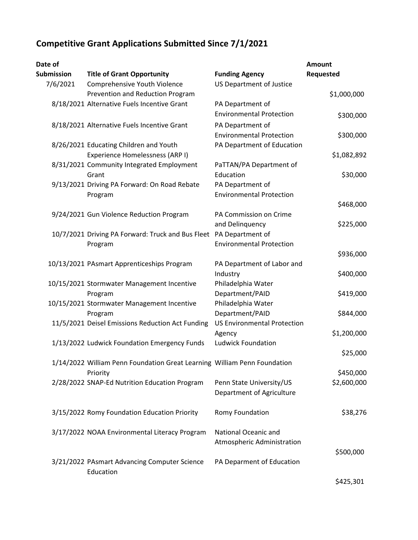## **Competitive Grant Applications Submitted Since 7/1/2021**

| Date of    |                                                                          |                                    | <b>Amount</b> |
|------------|--------------------------------------------------------------------------|------------------------------------|---------------|
| Submission | <b>Title of Grant Opportunity</b>                                        | <b>Funding Agency</b>              | Requested     |
| 7/6/2021   | Comprehensive Youth Violence                                             | <b>US Department of Justice</b>    |               |
|            | Prevention and Reduction Program                                         |                                    | \$1,000,000   |
|            | 8/18/2021 Alternative Fuels Incentive Grant                              | PA Department of                   |               |
|            |                                                                          | <b>Environmental Protection</b>    | \$300,000     |
|            | 8/18/2021 Alternative Fuels Incentive Grant                              | PA Department of                   |               |
|            |                                                                          | <b>Environmental Protection</b>    | \$300,000     |
|            | 8/26/2021 Educating Children and Youth                                   | PA Department of Education         |               |
|            | Experience Homelessness (ARP I)                                          |                                    | \$1,082,892   |
|            | 8/31/2021 Community Integrated Employment                                | PaTTAN/PA Department of            |               |
|            | Grant                                                                    | Education                          | \$30,000      |
|            | 9/13/2021 Driving PA Forward: On Road Rebate                             | PA Department of                   |               |
|            | Program                                                                  | <b>Environmental Protection</b>    |               |
|            |                                                                          |                                    | \$468,000     |
|            | 9/24/2021 Gun Violence Reduction Program                                 | PA Commission on Crime             |               |
|            |                                                                          | and Delinquency                    | \$225,000     |
|            | 10/7/2021 Driving PA Forward: Truck and Bus Fleet PA Department of       |                                    |               |
|            | Program                                                                  | <b>Environmental Protection</b>    |               |
|            |                                                                          |                                    | \$936,000     |
|            | 10/13/2021 PAsmart Apprenticeships Program                               | PA Department of Labor and         |               |
|            |                                                                          | Industry                           | \$400,000     |
|            | 10/15/2021 Stormwater Management Incentive                               | Philadelphia Water                 |               |
|            | Program                                                                  | Department/PAID                    | \$419,000     |
|            | 10/15/2021 Stormwater Management Incentive                               | Philadelphia Water                 |               |
|            | Program                                                                  | Department/PAID                    | \$844,000     |
|            | 11/5/2021 Deisel Emissions Reduction Act Funding                         | <b>US Environmental Protection</b> |               |
|            |                                                                          | Agency                             | \$1,200,000   |
|            | 1/13/2022 Ludwick Foundation Emergency Funds                             | <b>Ludwick Foundation</b>          |               |
|            |                                                                          |                                    | \$25,000      |
|            | 1/14/2022 William Penn Foundation Great Learning William Penn Foundation |                                    |               |
|            | Priority                                                                 |                                    | \$450,000     |
|            | 2/28/2022 SNAP-Ed Nutrition Education Program                            | Penn State University/US           | \$2,600,000   |
|            |                                                                          | Department of Agriculture          |               |
|            |                                                                          |                                    |               |
|            | 3/15/2022 Romy Foundation Education Priority                             | Romy Foundation                    | \$38,276      |
|            |                                                                          |                                    |               |
|            | 3/17/2022 NOAA Environmental Literacy Program                            | National Oceanic and               |               |
|            |                                                                          | Atmospheric Administration         |               |
|            |                                                                          |                                    | \$500,000     |
|            | 3/21/2022 PAsmart Advancing Computer Science<br>Education                | PA Deparment of Education          |               |

\$425,301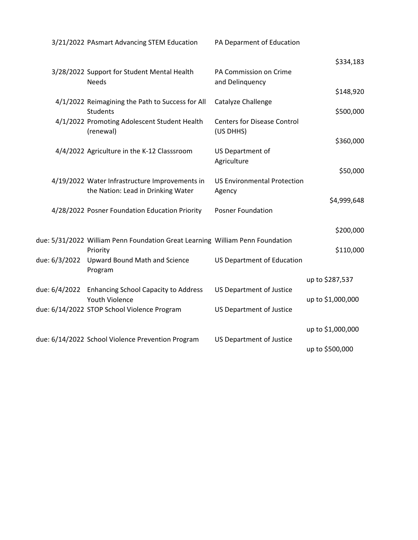|               | 3/21/2022 PAsmart Advancing STEM Education                                                | PA Deparment of Education                       |                   |
|---------------|-------------------------------------------------------------------------------------------|-------------------------------------------------|-------------------|
|               |                                                                                           |                                                 | \$334,183         |
|               | 3/28/2022 Support for Student Mental Health<br><b>Needs</b>                               | PA Commission on Crime<br>and Delinquency       |                   |
|               |                                                                                           |                                                 | \$148,920         |
|               | 4/1/2022 Reimagining the Path to Success for All<br><b>Students</b>                       | Catalyze Challenge                              | \$500,000         |
|               | 4/1/2022 Promoting Adolescent Student Health<br>(renewal)                                 | <b>Centers for Disease Control</b><br>(US DHHS) |                   |
|               |                                                                                           |                                                 | \$360,000         |
|               | 4/4/2022 Agriculture in the K-12 Classsroom                                               | US Department of<br>Agriculture                 |                   |
|               | 4/19/2022 Water Infrastructure Improvements in                                            | <b>US Environmental Protection</b>              | \$50,000          |
|               | the Nation: Lead in Drinking Water                                                        | Agency                                          |                   |
|               | 4/28/2022 Posner Foundation Education Priority                                            | <b>Posner Foundation</b>                        | \$4,999,648       |
|               |                                                                                           |                                                 | \$200,000         |
|               | due: 5/31/2022 William Penn Foundation Great Learning William Penn Foundation<br>Priority |                                                 | \$110,000         |
| due: 6/3/2022 | <b>Upward Bound Math and Science</b><br>Program                                           | <b>US Department of Education</b>               |                   |
|               |                                                                                           |                                                 | up to \$287,537   |
|               | due: 6/4/2022 Enhancing School Capacity to Address<br><b>Youth Violence</b>               | <b>US Department of Justice</b>                 | up to \$1,000,000 |
|               | due: 6/14/2022 STOP School Violence Program                                               | <b>US Department of Justice</b>                 |                   |
|               |                                                                                           |                                                 | up to \$1,000,000 |
|               | due: 6/14/2022 School Violence Prevention Program                                         | <b>US Department of Justice</b>                 | up to \$500,000   |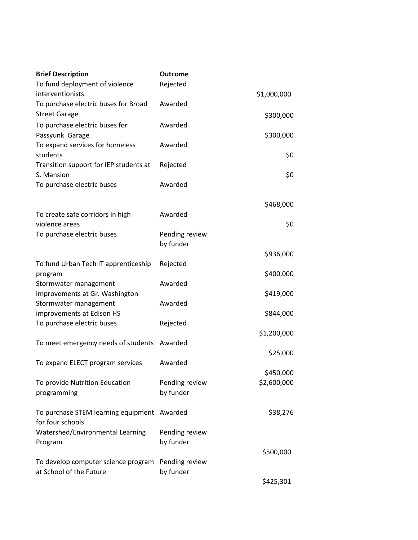| <b>Brief Description</b>                                       | <b>Outcome</b>              |             |
|----------------------------------------------------------------|-----------------------------|-------------|
| To fund deployment of violence                                 | Rejected                    |             |
| interventionists                                               |                             | \$1,000,000 |
| To purchase electric buses for Broad                           | Awarded                     |             |
| <b>Street Garage</b>                                           |                             | \$300,000   |
| To purchase electric buses for                                 | Awarded                     |             |
| Passyunk Garage                                                |                             | \$300,000   |
| To expand services for homeless<br>students                    | Awarded                     | \$0         |
| Transition support for IEP students at                         | Rejected                    |             |
| S. Mansion                                                     |                             | \$0         |
| To purchase electric buses                                     | Awarded                     |             |
|                                                                |                             |             |
|                                                                |                             | \$468,000   |
| To create safe corridors in high                               | Awarded                     |             |
| violence areas                                                 |                             | \$0         |
| To purchase electric buses                                     | Pending review              |             |
|                                                                | by funder                   |             |
|                                                                |                             | \$936,000   |
| To fund Urban Tech IT apprenticeship                           | Rejected                    |             |
| program                                                        |                             | \$400,000   |
| Stormwater management                                          | Awarded                     |             |
| improvements at Gr. Washington                                 |                             | \$419,000   |
| Stormwater management                                          | Awarded                     |             |
| improvements at Edison HS                                      |                             | \$844,000   |
| To purchase electric buses                                     | Rejected                    | \$1,200,000 |
| To meet emergency needs of students                            | Awarded                     |             |
|                                                                |                             | \$25,000    |
| To expand ELECT program services                               | Awarded                     |             |
|                                                                |                             | \$450,000   |
| To provide Nutrition Education                                 | Pending review              | \$2,600,000 |
| programming                                                    | by funder                   |             |
|                                                                |                             |             |
| To purchase STEM learning equipment Awarded                    |                             | \$38,276    |
| for four schools                                               |                             |             |
| Watershed/Environmental Learning                               | Pending review              |             |
| Program                                                        | by funder                   |             |
|                                                                |                             | \$500,000   |
| To develop computer science program<br>at School of the Future | Pending review<br>by funder |             |
|                                                                |                             | \$425,301   |
|                                                                |                             |             |